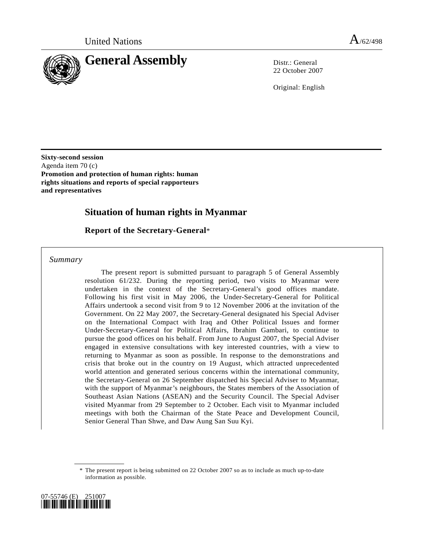

22 October 2007

Original: English

**Sixty-second session**  Agenda item 70 (c) **Promotion and protection of human rights: human rights situations and reports of special rapporteurs and representatives** 

# **Situation of human rights in Myanmar**

 **Report of the Secretary-General**\*

 *Summary* 

 The present report is submitted pursuant to paragraph 5 of General Assembly resolution 61/232. During the reporting period, two visits to Myanmar were undertaken in the context of the Secretary-General's good offices mandate. Following his first visit in May 2006, the Under-Secretary-General for Political Affairs undertook a second visit from 9 to 12 November 2006 at the invitation of the Government. On 22 May 2007, the Secretary-General designated his Special Adviser on the International Compact with Iraq and Other Political Issues and former Under-Secretary-General for Political Affairs, Ibrahim Gambari, to continue to pursue the good offices on his behalf. From June to August 2007, the Special Adviser engaged in extensive consultations with key interested countries, with a view to returning to Myanmar as soon as possible. In response to the demonstrations and crisis that broke out in the country on 19 August, which attracted unprecedented world attention and generated serious concerns within the international community, the Secretary-General on 26 September dispatched his Special Adviser to Myanmar, with the support of Myanmar's neighbours, the States members of the Association of Southeast Asian Nations (ASEAN) and the Security Council. The Special Adviser visited Myanmar from 29 September to 2 October. Each visit to Myanmar included meetings with both the Chairman of the State Peace and Development Council, Senior General Than Shwe, and Daw Aung San Suu Kyi.

 <sup>\*</sup> The present report is being submitted on 22 October 2007 so as to include as much up-to-date information as possible.

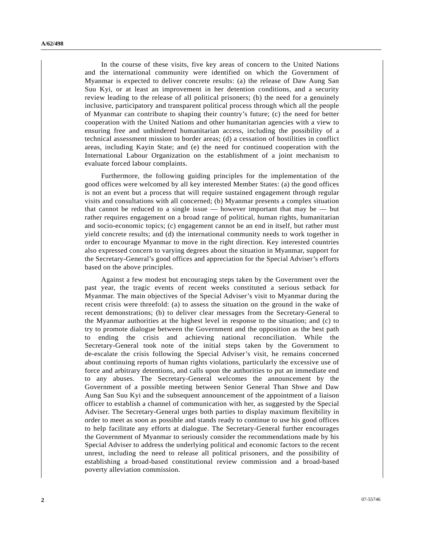In the course of these visits, five key areas of concern to the United Nations and the international community were identified on which the Government of Myanmar is expected to deliver concrete results: (a) the release of Daw Aung San Suu Kyi, or at least an improvement in her detention conditions, and a security review leading to the release of all political prisoners; (b) the need for a genuinely inclusive, participatory and transparent political process through which all the people of Myanmar can contribute to shaping their country's future; (c) the need for better cooperation with the United Nations and other humanitarian agencies with a view to ensuring free and unhindered humanitarian access, including the possibility of a technical assessment mission to border areas; (d) a cessation of hostilities in conflict areas, including Kayin State; and (e) the need for continued cooperation with the International Labour Organization on the establishment of a joint mechanism to evaluate forced labour complaints.

Furthermore, the following guiding principles for the implementation of the good offices were welcomed by all key interested Member States: (a) the good offices is not an event but a process that will require sustained engagement through regular visits and consultations with all concerned; (b) Myanmar presents a complex situation that cannot be reduced to a single issue  $-$  however important that may be  $-$  but rather requires engagement on a broad range of political, human rights, humanitarian and socio-economic topics; (c) engagement cannot be an end in itself, but rather must yield concrete results; and (d) the international community needs to work together in order to encourage Myanmar to move in the right direction. Key interested countries also expressed concern to varying degrees about the situation in Myanmar, support for the Secretary-General's good offices and appreciation for the Special Adviser's efforts based on the above principles.

 Against a few modest but encouraging steps taken by the Government over the past year, the tragic events of recent weeks constituted a serious setback for Myanmar. The main objectives of the Special Adviser's visit to Myanmar during the recent crisis were threefold: (a) to assess the situation on the ground in the wake of recent demonstrations; (b) to deliver clear messages from the Secretary-General to the Myanmar authorities at the highest level in response to the situation; and (c) to try to promote dialogue between the Government and the opposition as the best path to ending the crisis and achieving national reconciliation. While the Secretary-General took note of the initial steps taken by the Government to de-escalate the crisis following the Special Adviser's visit, he remains concerned about continuing reports of human rights violations, particularly the excessive use of force and arbitrary detentions, and calls upon the authorities to put an immediate end to any abuses. The Secretary-General welcomes the announcement by the Government of a possible meeting between Senior General Than Shwe and Daw Aung San Suu Kyi and the subsequent announcement of the appointment of a liaison officer to establish a channel of communication with her, as suggested by the Special Adviser. The Secretary-General urges both parties to display maximum flexibility in order to meet as soon as possible and stands ready to continue to use his good offices to help facilitate any efforts at dialogue. The Secretary-General further encourages the Government of Myanmar to seriously consider the recommendations made by his Special Adviser to address the underlying political and economic factors to the recent unrest, including the need to release all political prisoners, and the possibility of establishing a broad-based constitutional review commission and a broad-based poverty alleviation commission.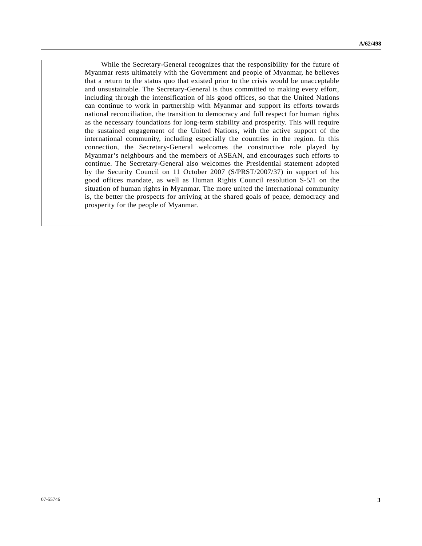While the Secretary-General recognizes that the responsibility for the future of Myanmar rests ultimately with the Government and people of Myanmar, he believes that a return to the status quo that existed prior to the crisis would be unacceptable and unsustainable. The Secretary-General is thus committed to making every effort, including through the intensification of his good offices, so that the United Nations can continue to work in partnership with Myanmar and support its efforts towards national reconciliation, the transition to democracy and full respect for human rights as the necessary foundations for long-term stability and prosperity. This will require the sustained engagement of the United Nations, with the active support of the international community, including especially the countries in the region. In this connection, the Secretary-General welcomes the constructive role played by Myanmar's neighbours and the members of ASEAN, and encourages such efforts to continue. The Secretary-General also welcomes the Presidential statement adopted by the Security Council on 11 October 2007 (S/PRST/2007/37) in support of his good offices mandate, as well as Human Rights Council resolution S-5/1 on the situation of human rights in Myanmar. The more united the international community is, the better the prospects for arriving at the shared goals of peace, democracy and prosperity for the people of Myanmar.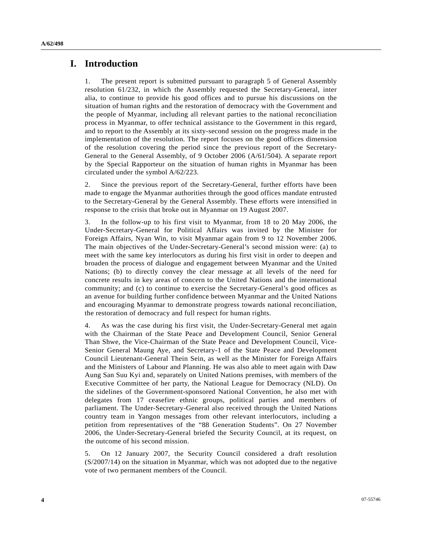### **I. Introduction**

1. The present report is submitted pursuant to paragraph 5 of General Assembly resolution 61/232, in which the Assembly requested the Secretary-General, inter alia, to continue to provide his good offices and to pursue his discussions on the situation of human rights and the restoration of democracy with the Government and the people of Myanmar, including all relevant parties to the national reconciliation process in Myanmar, to offer technical assistance to the Government in this regard, and to report to the Assembly at its sixty-second session on the progress made in the implementation of the resolution. The report focuses on the good offices dimension of the resolution covering the period since the previous report of the Secretary-General to the General Assembly, of 9 October 2006 (A/61/504). A separate report by the Special Rapporteur on the situation of human rights in Myanmar has been circulated under the symbol A/62/223.

2. Since the previous report of the Secretary-General, further efforts have been made to engage the Myanmar authorities through the good offices mandate entrusted to the Secretary-General by the General Assembly. These efforts were intensified in response to the crisis that broke out in Myanmar on 19 August 2007.

3. In the follow-up to his first visit to Myanmar, from 18 to 20 May 2006, the Under-Secretary-General for Political Affairs was invited by the Minister for Foreign Affairs, Nyan Win, to visit Myanmar again from 9 to 12 November 2006. The main objectives of the Under-Secretary-General's second mission were: (a) to meet with the same key interlocutors as during his first visit in order to deepen and broaden the process of dialogue and engagement between Myanmar and the United Nations; (b) to directly convey the clear message at all levels of the need for concrete results in key areas of concern to the United Nations and the international community; and (c) to continue to exercise the Secretary-General's good offices as an avenue for building further confidence between Myanmar and the United Nations and encouraging Myanmar to demonstrate progress towards national reconciliation, the restoration of democracy and full respect for human rights.

4. As was the case during his first visit, the Under-Secretary-General met again with the Chairman of the State Peace and Development Council, Senior General Than Shwe, the Vice-Chairman of the State Peace and Development Council, Vice-Senior General Maung Aye, and Secretary-1 of the State Peace and Development Council Lieutenant-General Thein Sein, as well as the Minister for Foreign Affairs and the Ministers of Labour and Planning. He was also able to meet again with Daw Aung San Suu Kyi and, separately on United Nations premises, with members of the Executive Committee of her party, the National League for Democracy (NLD). On the sidelines of the Government-sponsored National Convention, he also met with delegates from 17 ceasefire ethnic groups, political parties and members of parliament. The Under-Secretary-General also received through the United Nations country team in Yangon messages from other relevant interlocutors, including a petition from representatives of the "88 Generation Students". On 27 November 2006, the Under-Secretary-General briefed the Security Council, at its request, on the outcome of his second mission.

5. On 12 January 2007, the Security Council considered a draft resolution (S/2007/14) on the situation in Myanmar, which was not adopted due to the negative vote of two permanent members of the Council.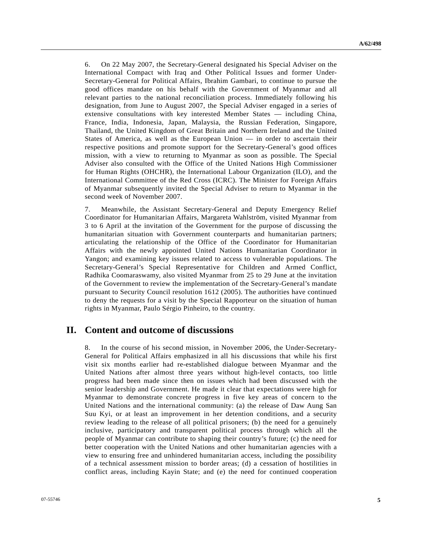6. On 22 May 2007, the Secretary-General designated his Special Adviser on the International Compact with Iraq and Other Political Issues and former Under-Secretary-General for Political Affairs, Ibrahim Gambari, to continue to pursue the good offices mandate on his behalf with the Government of Myanmar and all relevant parties to the national reconciliation process. Immediately following his designation, from June to August 2007, the Special Adviser engaged in a series of extensive consultations with key interested Member States — including China, France, India, Indonesia, Japan, Malaysia, the Russian Federation, Singapore, Thailand, the United Kingdom of Great Britain and Northern Ireland and the United States of America, as well as the European Union — in order to ascertain their respective positions and promote support for the Secretary-General's good offices mission, with a view to returning to Myanmar as soon as possible. The Special Adviser also consulted with the Office of the United Nations High Commissioner for Human Rights (OHCHR), the International Labour Organization (ILO), and the International Committee of the Red Cross (ICRC). The Minister for Foreign Affairs of Myanmar subsequently invited the Special Adviser to return to Myanmar in the second week of November 2007.

7. Meanwhile, the Assistant Secretary-General and Deputy Emergency Relief Coordinator for Humanitarian Affairs, Margareta Wahlström, visited Myanmar from 3 to 6 April at the invitation of the Government for the purpose of discussing the humanitarian situation with Government counterparts and humanitarian partners; articulating the relationship of the Office of the Coordinator for Humanitarian Affairs with the newly appointed United Nations Humanitarian Coordinator in Yangon; and examining key issues related to access to vulnerable populations. The Secretary-General's Special Representative for Children and Armed Conflict, Radhika Coomaraswamy, also visited Myanmar from 25 to 29 June at the invitation of the Government to review the implementation of the Secretary-General's mandate pursuant to Security Council resolution 1612 (2005). The authorities have continued to deny the requests for a visit by the Special Rapporteur on the situation of human rights in Myanmar, Paulo Sérgio Pinheiro, to the country.

### **II. Content and outcome of discussions**

8. In the course of his second mission, in November 2006, the Under-Secretary-General for Political Affairs emphasized in all his discussions that while his first visit six months earlier had re-established dialogue between Myanmar and the United Nations after almost three years without high-level contacts, too little progress had been made since then on issues which had been discussed with the senior leadership and Government. He made it clear that expectations were high for Myanmar to demonstrate concrete progress in five key areas of concern to the United Nations and the international community: (a) the release of Daw Aung San Suu Kyi, or at least an improvement in her detention conditions, and a security review leading to the release of all political prisoners; (b) the need for a genuinely inclusive, participatory and transparent political process through which all the people of Myanmar can contribute to shaping their country's future; (c) the need for better cooperation with the United Nations and other humanitarian agencies with a view to ensuring free and unhindered humanitarian access, including the possibility of a technical assessment mission to border areas; (d) a cessation of hostilities in conflict areas, including Kayin State; and (e) the need for continued cooperation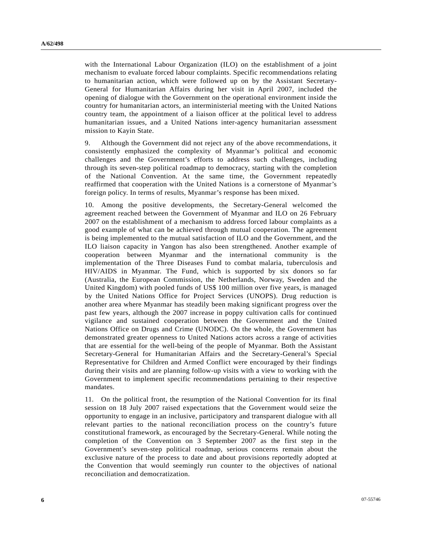with the International Labour Organization (ILO) on the establishment of a joint mechanism to evaluate forced labour complaints. Specific recommendations relating to humanitarian action, which were followed up on by the Assistant Secretary-General for Humanitarian Affairs during her visit in April 2007, included the opening of dialogue with the Government on the operational environment inside the country for humanitarian actors, an interministerial meeting with the United Nations country team, the appointment of a liaison officer at the political level to address humanitarian issues, and a United Nations inter-agency humanitarian assessment mission to Kayin State.

9. Although the Government did not reject any of the above recommendations, it consistently emphasized the complexity of Myanmar's political and economic challenges and the Government's efforts to address such challenges, including through its seven-step political roadmap to democracy, starting with the completion of the National Convention. At the same time, the Government repeatedly reaffirmed that cooperation with the United Nations is a cornerstone of Myanmar's foreign policy. In terms of results, Myanmar's response has been mixed.

10. Among the positive developments, the Secretary-General welcomed the agreement reached between the Government of Myanmar and ILO on 26 February 2007 on the establishment of a mechanism to address forced labour complaints as a good example of what can be achieved through mutual cooperation. The agreement is being implemented to the mutual satisfaction of ILO and the Government, and the ILO liaison capacity in Yangon has also been strengthened. Another example of cooperation between Myanmar and the international community is the implementation of the Three Diseases Fund to combat malaria, tuberculosis and HIV/AIDS in Myanmar. The Fund, which is supported by six donors so far (Australia, the European Commission, the Netherlands, Norway, Sweden and the United Kingdom) with pooled funds of US\$ 100 million over five years, is managed by the United Nations Office for Project Services (UNOPS). Drug reduction is another area where Myanmar has steadily been making significant progress over the past few years, although the 2007 increase in poppy cultivation calls for continued vigilance and sustained cooperation between the Government and the United Nations Office on Drugs and Crime (UNODC). On the whole, the Government has demonstrated greater openness to United Nations actors across a range of activities that are essential for the well-being of the people of Myanmar. Both the Assistant Secretary-General for Humanitarian Affairs and the Secretary-General's Special Representative for Children and Armed Conflict were encouraged by their findings during their visits and are planning follow-up visits with a view to working with the Government to implement specific recommendations pertaining to their respective mandates.

11. On the political front, the resumption of the National Convention for its final session on 18 July 2007 raised expectations that the Government would seize the opportunity to engage in an inclusive, participatory and transparent dialogue with all relevant parties to the national reconciliation process on the country's future constitutional framework, as encouraged by the Secretary-General. While noting the completion of the Convention on 3 September 2007 as the first step in the Government's seven-step political roadmap, serious concerns remain about the exclusive nature of the process to date and about provisions reportedly adopted at the Convention that would seemingly run counter to the objectives of national reconciliation and democratization.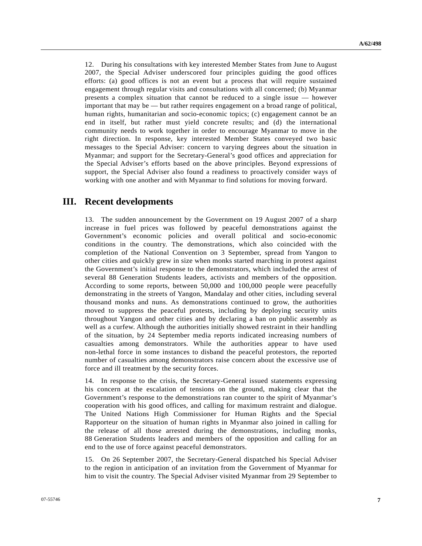12. During his consultations with key interested Member States from June to August 2007, the Special Adviser underscored four principles guiding the good offices efforts: (a) good offices is not an event but a process that will require sustained engagement through regular visits and consultations with all concerned; (b) Myanmar presents a complex situation that cannot be reduced to a single issue — however important that may be — but rather requires engagement on a broad range of political, human rights, humanitarian and socio-economic topics; (c) engagement cannot be an end in itself, but rather must yield concrete results; and (d) the international community needs to work together in order to encourage Myanmar to move in the right direction. In response, key interested Member States conveyed two basic messages to the Special Adviser: concern to varying degrees about the situation in Myanmar; and support for the Secretary-General's good offices and appreciation for the Special Adviser's efforts based on the above principles. Beyond expressions of support, the Special Adviser also found a readiness to proactively consider ways of working with one another and with Myanmar to find solutions for moving forward.

## **III. Recent developments**

13. The sudden announcement by the Government on 19 August 2007 of a sharp increase in fuel prices was followed by peaceful demonstrations against the Government's economic policies and overall political and socio-economic conditions in the country. The demonstrations, which also coincided with the completion of the National Convention on 3 September, spread from Yangon to other cities and quickly grew in size when monks started marching in protest against the Government's initial response to the demonstrators, which included the arrest of several 88 Generation Students leaders, activists and members of the opposition. According to some reports, between 50,000 and 100,000 people were peacefully demonstrating in the streets of Yangon, Mandalay and other cities, including several thousand monks and nuns. As demonstrations continued to grow, the authorities moved to suppress the peaceful protests, including by deploying security units throughout Yangon and other cities and by declaring a ban on public assembly as well as a curfew. Although the authorities initially showed restraint in their handling of the situation, by 24 September media reports indicated increasing numbers of casualties among demonstrators. While the authorities appear to have used non-lethal force in some instances to disband the peaceful protestors, the reported number of casualties among demonstrators raise concern about the excessive use of force and ill treatment by the security forces.

14. In response to the crisis, the Secretary-General issued statements expressing his concern at the escalation of tensions on the ground, making clear that the Government's response to the demonstrations ran counter to the spirit of Myanmar's cooperation with his good offices, and calling for maximum restraint and dialogue. The United Nations High Commissioner for Human Rights and the Special Rapporteur on the situation of human rights in Myanmar also joined in calling for the release of all those arrested during the demonstrations, including monks, 88 Generation Students leaders and members of the opposition and calling for an end to the use of force against peaceful demonstrators.

15. On 26 September 2007, the Secretary-General dispatched his Special Adviser to the region in anticipation of an invitation from the Government of Myanmar for him to visit the country. The Special Adviser visited Myanmar from 29 September to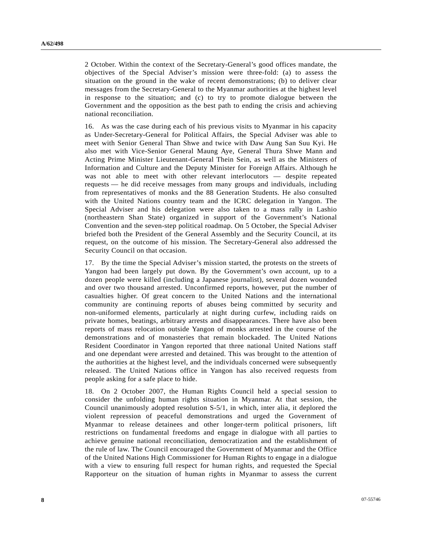2 October. Within the context of the Secretary-General's good offices mandate, the objectives of the Special Adviser's mission were three-fold: (a) to assess the situation on the ground in the wake of recent demonstrations; (b) to deliver clear messages from the Secretary-General to the Myanmar authorities at the highest level in response to the situation; and (c) to try to promote dialogue between the Government and the opposition as the best path to ending the crisis and achieving national reconciliation.

16. As was the case during each of his previous visits to Myanmar in his capacity as Under-Secretary-General for Political Affairs, the Special Adviser was able to meet with Senior General Than Shwe and twice with Daw Aung San Suu Kyi. He also met with Vice-Senior General Maung Aye, General Thura Shwe Mann and Acting Prime Minister Lieutenant-General Thein Sein, as well as the Ministers of Information and Culture and the Deputy Minister for Foreign Affairs. Although he was not able to meet with other relevant interlocutors — despite repeated requests — he did receive messages from many groups and individuals, including from representatives of monks and the 88 Generation Students. He also consulted with the United Nations country team and the ICRC delegation in Yangon. The Special Adviser and his delegation were also taken to a mass rally in Lashio (northeastern Shan State) organized in support of the Government's National Convention and the seven-step political roadmap. On 5 October, the Special Adviser briefed both the President of the General Assembly and the Security Council, at its request, on the outcome of his mission. The Secretary-General also addressed the Security Council on that occasion.

17. By the time the Special Adviser's mission started, the protests on the streets of Yangon had been largely put down. By the Government's own account, up to a dozen people were killed (including a Japanese journalist), several dozen wounded and over two thousand arrested. Unconfirmed reports, however, put the number of casualties higher. Of great concern to the United Nations and the international community are continuing reports of abuses being committed by security and non-uniformed elements, particularly at night during curfew, including raids on private homes, beatings, arbitrary arrests and disappearances. There have also been reports of mass relocation outside Yangon of monks arrested in the course of the demonstrations and of monasteries that remain blockaded. The United Nations Resident Coordinator in Yangon reported that three national United Nations staff and one dependant were arrested and detained. This was brought to the attention of the authorities at the highest level, and the individuals concerned were subsequently released. The United Nations office in Yangon has also received requests from people asking for a safe place to hide.

18. On 2 October 2007, the Human Rights Council held a special session to consider the unfolding human rights situation in Myanmar. At that session, the Council unanimously adopted resolution S-5/1, in which, inter alia, it deplored the violent repression of peaceful demonstrations and urged the Government of Myanmar to release detainees and other longer-term political prisoners, lift restrictions on fundamental freedoms and engage in dialogue with all parties to achieve genuine national reconciliation, democratization and the establishment of the rule of law. The Council encouraged the Government of Myanmar and the Office of the United Nations High Commissioner for Human Rights to engage in a dialogue with a view to ensuring full respect for human rights, and requested the Special Rapporteur on the situation of human rights in Myanmar to assess the current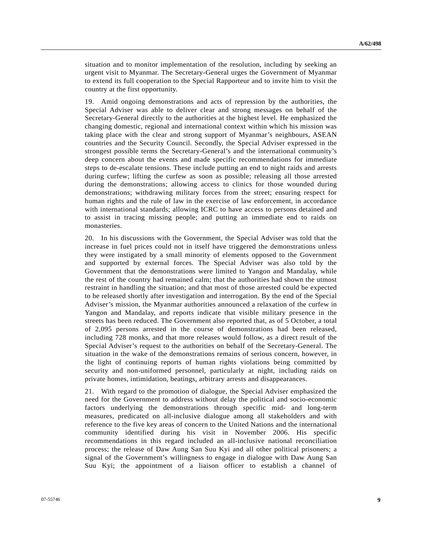situation and to monitor implementation of the resolution, including by seeking an urgent visit to Myanmar. The Secretary-General urges the Government of Myanmar to extend its full cooperation to the Special Rapporteur and to invite him to visit the country at the first opportunity.

19. Amid ongoing demonstrations and acts of repression by the authorities, the Special Adviser was able to deliver clear and strong messages on behalf of the Secretary-General directly to the authorities at the highest level. He emphasized the changing domestic, regional and international context within which his mission was taking place with the clear and strong support of Myanmar's neighbours, ASEAN countries and the Security Council. Secondly, the Special Adviser expressed in the strongest possible terms the Secretary-General's and the international community's deep concern about the events and made specific recommendations for immediate steps to de-escalate tensions. These include putting an end to night raids and arrests during curfew; lifting the curfew as soon as possible; releasing all those arrested during the demonstrations; allowing access to clinics for those wounded during demonstrations; withdrawing military forces from the street; ensuring respect for human rights and the rule of law in the exercise of law enforcement, in accordance with international standards; allowing ICRC to have access to persons detained and to assist in tracing missing people; and putting an immediate end to raids on monasteries.

20. In his discussions with the Government, the Special Adviser was told that the increase in fuel prices could not in itself have triggered the demonstrations unless they were instigated by a small minority of elements opposed to the Government and supported by external forces. The Special Adviser was also told by the Government that the demonstrations were limited to Yangon and Mandalay, while the rest of the country had remained calm; that the authorities had shown the utmost restraint in handling the situation; and that most of those arrested could be expected to be released shortly after investigation and interrogation. By the end of the Special Adviser's mission, the Myanmar authorities announced a relaxation of the curfew in Yangon and Mandalay, and reports indicate that visible military presence in the streets has been reduced. The Government also reported that, as of 5 October, a total of 2,095 persons arrested in the course of demonstrations had been released, including 728 monks, and that more releases would follow, as a direct result of the Special Adviser's request to the authorities on behalf of the Secretary-General. The situation in the wake of the demonstrations remains of serious concern, however, in the light of continuing reports of human rights violations being committed by security and non-uniformed personnel, particularly at night, including raids on private homes, intimidation, beatings, arbitrary arrests and disappearances.

21. With regard to the promotion of dialogue, the Special Adviser emphasized the need for the Government to address without delay the political and socio-economic factors underlying the demonstrations through specific mid- and long-term measures, predicated on all-inclusive dialogue among all stakeholders and with reference to the five key areas of concern to the United Nations and the international community identified during his visit in November 2006. His specific recommendations in this regard included an all-inclusive national reconciliation process; the release of Daw Aung San Suu Kyi and all other political prisoners; a signal of the Government's willingness to engage in dialogue with Daw Aung San Suu Kyi; the appointment of a liaison officer to establish a channel of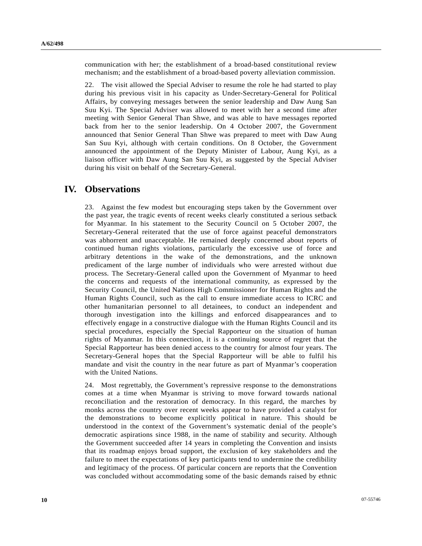communication with her; the establishment of a broad-based constitutional review mechanism; and the establishment of a broad-based poverty alleviation commission.

22. The visit allowed the Special Adviser to resume the role he had started to play during his previous visit in his capacity as Under-Secretary-General for Political Affairs, by conveying messages between the senior leadership and Daw Aung San Suu Kyi. The Special Adviser was allowed to meet with her a second time after meeting with Senior General Than Shwe, and was able to have messages reported back from her to the senior leadership. On 4 October 2007, the Government announced that Senior General Than Shwe was prepared to meet with Daw Aung San Suu Kyi, although with certain conditions. On 8 October, the Government announced the appointment of the Deputy Minister of Labour, Aung Kyi, as a liaison officer with Daw Aung San Suu Kyi, as suggested by the Special Adviser during his visit on behalf of the Secretary-General.

### **IV. Observations**

23. Against the few modest but encouraging steps taken by the Government over the past year, the tragic events of recent weeks clearly constituted a serious setback for Myanmar. In his statement to the Security Council on 5 October 2007, the Secretary-General reiterated that the use of force against peaceful demonstrators was abhorrent and unacceptable. He remained deeply concerned about reports of continued human rights violations, particularly the excessive use of force and arbitrary detentions in the wake of the demonstrations, and the unknown predicament of the large number of individuals who were arrested without due process. The Secretary-General called upon the Government of Myanmar to heed the concerns and requests of the international community, as expressed by the Security Council, the United Nations High Commissioner for Human Rights and the Human Rights Council, such as the call to ensure immediate access to ICRC and other humanitarian personnel to all detainees, to conduct an independent and thorough investigation into the killings and enforced disappearances and to effectively engage in a constructive dialogue with the Human Rights Council and its special procedures, especially the Special Rapporteur on the situation of human rights of Myanmar. In this connection, it is a continuing source of regret that the Special Rapporteur has been denied access to the country for almost four years. The Secretary-General hopes that the Special Rapporteur will be able to fulfil his mandate and visit the country in the near future as part of Myanmar's cooperation with the United Nations.

24. Most regrettably, the Government's repressive response to the demonstrations comes at a time when Myanmar is striving to move forward towards national reconciliation and the restoration of democracy. In this regard, the marches by monks across the country over recent weeks appear to have provided a catalyst for the demonstrations to become explicitly political in nature. This should be understood in the context of the Government's systematic denial of the people's democratic aspirations since 1988, in the name of stability and security. Although the Government succeeded after 14 years in completing the Convention and insists that its roadmap enjoys broad support, the exclusion of key stakeholders and the failure to meet the expectations of key participants tend to undermine the credibility and legitimacy of the process. Of particular concern are reports that the Convention was concluded without accommodating some of the basic demands raised by ethnic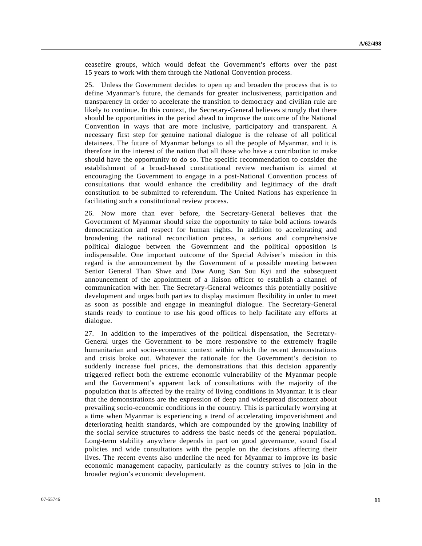ceasefire groups, which would defeat the Government's efforts over the past 15 years to work with them through the National Convention process.

25. Unless the Government decides to open up and broaden the process that is to define Myanmar's future, the demands for greater inclusiveness, participation and transparency in order to accelerate the transition to democracy and civilian rule are likely to continue. In this context, the Secretary-General believes strongly that there should be opportunities in the period ahead to improve the outcome of the National Convention in ways that are more inclusive, participatory and transparent. A necessary first step for genuine national dialogue is the release of all political detainees. The future of Myanmar belongs to all the people of Myanmar, and it is therefore in the interest of the nation that all those who have a contribution to make should have the opportunity to do so. The specific recommendation to consider the establishment of a broad-based constitutional review mechanism is aimed at encouraging the Government to engage in a post-National Convention process of consultations that would enhance the credibility and legitimacy of the draft constitution to be submitted to referendum. The United Nations has experience in facilitating such a constitutional review process.

26. Now more than ever before, the Secretary-General believes that the Government of Myanmar should seize the opportunity to take bold actions towards democratization and respect for human rights. In addition to accelerating and broadening the national reconciliation process, a serious and comprehensive political dialogue between the Government and the political opposition is indispensable. One important outcome of the Special Adviser's mission in this regard is the announcement by the Government of a possible meeting between Senior General Than Shwe and Daw Aung San Suu Kyi and the subsequent announcement of the appointment of a liaison officer to establish a channel of communication with her. The Secretary-General welcomes this potentially positive development and urges both parties to display maximum flexibility in order to meet as soon as possible and engage in meaningful dialogue. The Secretary-General stands ready to continue to use his good offices to help facilitate any efforts at dialogue.

27. In addition to the imperatives of the political dispensation, the Secretary-General urges the Government to be more responsive to the extremely fragile humanitarian and socio-economic context within which the recent demonstrations and crisis broke out. Whatever the rationale for the Government's decision to suddenly increase fuel prices, the demonstrations that this decision apparently triggered reflect both the extreme economic vulnerability of the Myanmar people and the Government's apparent lack of consultations with the majority of the population that is affected by the reality of living conditions in Myanmar. It is clear that the demonstrations are the expression of deep and widespread discontent about prevailing socio-economic conditions in the country. This is particularly worrying at a time when Myanmar is experiencing a trend of accelerating impoverishment and deteriorating health standards, which are compounded by the growing inability of the social service structures to address the basic needs of the general population. Long-term stability anywhere depends in part on good governance, sound fiscal policies and wide consultations with the people on the decisions affecting their lives. The recent events also underline the need for Myanmar to improve its basic economic management capacity, particularly as the country strives to join in the broader region's economic development.